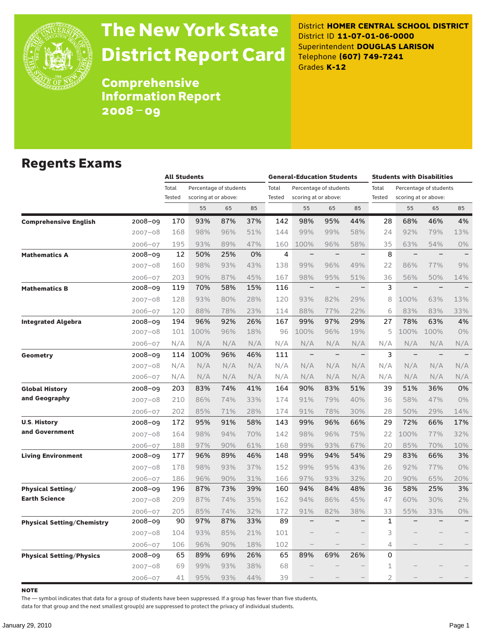

# The New York State District Report Card

District **HOMER CENTRAL SCHOOL DISTRICT** District ID **11-07-01-06-0000** Superintendent **DOUGLAS LARISON** Telephone **(607) 749-7241** Grades **K-12**

**Comprehensive** Information Report 2008–09

### Regents Exams

|                                   |             | <b>All Students</b> |                        |     |     | <b>General-Education Students</b> |                          |                          |                          | <b>Students with Disabilities</b> |                          |                          |                   |
|-----------------------------------|-------------|---------------------|------------------------|-----|-----|-----------------------------------|--------------------------|--------------------------|--------------------------|-----------------------------------|--------------------------|--------------------------|-------------------|
|                                   |             | Total               | Percentage of students |     |     | Total                             |                          | Percentage of students   |                          | Total                             |                          | Percentage of students   |                   |
|                                   |             | Tested              | scoring at or above:   |     |     | <b>Tested</b>                     | scoring at or above:     |                          |                          | Tested                            |                          | scoring at or above:     |                   |
|                                   |             |                     | 55                     | 65  | 85  |                                   | 55                       | 65                       | 85                       |                                   | 55                       | 65                       | 85                |
| <b>Comprehensive English</b>      | 2008-09     | 170                 | 93%                    | 87% | 37% | 142                               | 98%                      | 95%                      | 44%                      | 28                                | 68%                      | 46%                      | 4%                |
|                                   | $2007 - 08$ | 168                 | 98%                    | 96% | 51% | 144                               | 99%                      | 99%                      | 58%                      | 24                                | 92%                      | 79%                      | 13%               |
|                                   | $2006 - 07$ | 195                 | 93%                    | 89% | 47% | 160                               | 100%                     | 96%                      | 58%                      | 35                                | 63%                      | 54%                      | 0%                |
| <b>Mathematics A</b>              | 2008-09     | 12                  | 50%                    | 25% | 0%  | $\overline{4}$                    | $\qquad \qquad -$        | $\overline{\phantom{0}}$ | $\qquad \qquad -$        | 8                                 | $\overline{\phantom{0}}$ | $\equiv$                 |                   |
|                                   | $2007 - 08$ | 160                 | 98%                    | 93% | 43% | 138                               | 99%                      | 96%                      | 49%                      | 22                                | 86%                      | 77%                      | 9%                |
|                                   | $2006 - 07$ | 203                 | 90%                    | 87% | 45% | 167                               | 98%                      | 95%                      | 51%                      | 36                                | 56%                      | 50%                      | 14%               |
| <b>Mathematics B</b>              | 2008-09     | 119                 | 70%                    | 58% | 15% | 116                               | $\qquad \qquad -$        | $\overline{\phantom{0}}$ | $\overline{\phantom{0}}$ | 3                                 | $\qquad \qquad -$        | $\equiv$                 |                   |
|                                   | $2007 - 08$ | 128                 | 93%                    | 80% | 28% | 120                               | 93%                      | 82%                      | 29%                      | 8                                 | 100%                     | 63%                      | 13%               |
|                                   | $2006 - 07$ | 120                 | 88%                    | 78% | 23% | 114                               | 88%                      | 77%                      | 22%                      | 6                                 | 83%                      | 83%                      | 33%               |
| <b>Integrated Algebra</b>         | 2008-09     | 194                 | 96%                    | 92% | 26% | 167                               | 99%                      | 97%                      | 29%                      | 27                                | 78%                      | 63%                      | 4%                |
|                                   | $2007 - 08$ | 101                 | 100%                   | 96% | 18% | 96                                | 100%                     | 96%                      | 19%                      | 5                                 | 100%                     | 100%                     | 0%                |
|                                   | $2006 - 07$ | N/A                 | N/A                    | N/A | N/A | N/A                               | N/A                      | N/A                      | N/A                      | N/A                               | N/A                      | N/A                      | N/A               |
| Geometry                          | 2008-09     | 114                 | 100%                   | 96% | 46% | 111                               | $\qquad \qquad -$        | $\overline{\phantom{0}}$ | $\qquad \qquad -$        | 3                                 | $\qquad \qquad -$        | $\overline{\phantom{m}}$ |                   |
|                                   | $2007 - 08$ | N/A                 | N/A                    | N/A | N/A | N/A                               | N/A                      | N/A                      | N/A                      | N/A                               | N/A                      | N/A                      | N/A               |
|                                   | $2006 - 07$ | N/A                 | N/A                    | N/A | N/A | N/A                               | N/A                      | N/A                      | N/A                      | N/A                               | N/A                      | N/A                      | N/A               |
| <b>Global History</b>             | 2008-09     | 203                 | 83%                    | 74% | 41% | 164                               | 90%                      | 83%                      | 51%                      | 39                                | 51%                      | 36%                      | 0%                |
| and Geography                     | $2007 - 08$ | 210                 | 86%                    | 74% | 33% | 174                               | 91%                      | 79%                      | 40%                      | 36                                | 58%                      | 47%                      | 0%                |
|                                   | $2006 - 07$ | 202                 | 85%                    | 71% | 28% | 174                               | 91%                      | 78%                      | 30%                      | 28                                | 50%                      | 29%                      | 14%               |
| <b>U.S. History</b>               | 2008-09     | 172                 | 95%                    | 91% | 58% | 143                               | 99%                      | 96%                      | 66%                      | 29                                | 72%                      | 66%                      | 17%               |
| and Government                    | $2007 - 08$ | 164                 | 98%                    | 94% | 70% | 142                               | 98%                      | 96%                      | 75%                      | 22                                | 100%                     | 77%                      | 32%               |
|                                   | $2006 - 07$ | 188                 | 97%                    | 90% | 61% | 168                               | 99%                      | 93%                      | 67%                      | 20                                | 85%                      | 70%                      | 10%               |
| <b>Living Environment</b>         | 2008-09     | 177                 | 96%                    | 89% | 46% | 148                               | 99%                      | 94%                      | 54%                      | 29                                | 83%                      | 66%                      | 3%                |
|                                   | $2007 - 08$ | 178                 | 98%                    | 93% | 37% | 152                               | 99%                      | 95%                      | 43%                      | 26                                | 92%                      | 77%                      | $0\%$             |
|                                   | $2006 - 07$ | 186                 | 96%                    | 90% | 31% | 166                               | 97%                      | 93%                      | 32%                      | 20                                | 90%                      | 65%                      | 20%               |
| <b>Physical Setting/</b>          | 2008-09     | 196                 | 87%                    | 73% | 39% | 160                               | 94%                      | 84%                      | 48%                      | 36                                | 58%                      | 25%                      | 3%                |
| <b>Earth Science</b>              | $2007 - 08$ | 209                 | 87%                    | 74% | 35% | 162                               | 94%                      | 86%                      | 45%                      | 47                                | 60%                      | 30%                      | 2%                |
|                                   | $2006 - 07$ | 205                 | 85%                    | 74% | 32% | 172                               | 91%                      | 82%                      | 38%                      | 33                                | 55%                      | 33%                      | 0%                |
| <b>Physical Setting/Chemistry</b> | 2008-09     | 90                  | 97%                    | 87% | 33% | 89                                | $\overline{\phantom{0}}$ | $\overline{\phantom{0}}$ | $\overline{\phantom{0}}$ | $\mathbf{1}$                      |                          |                          | $\qquad \qquad -$ |
|                                   | $2007 - 08$ | 104                 | 93%                    | 85% | 21% | 101                               |                          |                          | $\overline{\phantom{0}}$ | 3                                 |                          |                          |                   |
|                                   | $2006 - 07$ | 106                 | 96%                    | 90% | 18% | 102                               |                          |                          | $\qquad \qquad -$        | 4                                 |                          |                          |                   |
| <b>Physical Setting/Physics</b>   | 2008-09     | 65                  | 89%                    | 69% | 26% | 65                                | 89%                      | 69%                      | 26%                      | 0                                 |                          |                          |                   |
|                                   | $2007 - 08$ | 69                  | 99%                    | 93% | 38% | 68                                |                          |                          |                          | 1                                 |                          |                          |                   |
|                                   | $2006 - 07$ | 41                  | 95%                    | 93% | 44% | 39                                |                          |                          |                          | $\overline{2}$                    |                          |                          |                   |

**NOTE** 

The — symbol indicates that data for a group of students have been suppressed. If a group has fewer than five students,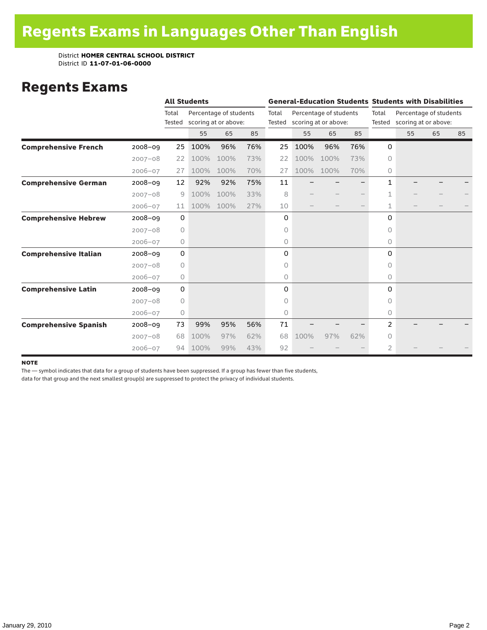### Regents Exams

|                              |             |                 | <b>All Students</b> |                                                |     |                 | <b>General-Education Students Students with Disabilities</b> |      |                 |              |                                                |    |    |  |
|------------------------------|-------------|-----------------|---------------------|------------------------------------------------|-----|-----------------|--------------------------------------------------------------|------|-----------------|--------------|------------------------------------------------|----|----|--|
|                              |             | Total<br>Tested |                     | Percentage of students<br>scoring at or above: |     | Total<br>Tested | Percentage of students<br>scoring at or above:               |      | Total<br>Tested |              | Percentage of students<br>scoring at or above: |    |    |  |
|                              |             |                 | 55                  | 65                                             | 85  |                 | 55                                                           | 65   | 85              |              | 55                                             | 65 | 85 |  |
| <b>Comprehensive French</b>  | $2008 - 09$ | 25              | 100%                | 96%                                            | 76% | 25              | 100%                                                         | 96%  | 76%             | 0            |                                                |    |    |  |
|                              | $2007 - 08$ | 22              | 100%                | 100%                                           | 73% | 22              | 100%                                                         | 100% | 73%             | $\circ$      |                                                |    |    |  |
|                              | $2006 - 07$ | 27              | 100%                | 100%                                           | 70% | 27              | 100%                                                         | 100% | 70%             | 0            |                                                |    |    |  |
| <b>Comprehensive German</b>  | $2008 - 09$ | 12              | 92%                 | 92%                                            | 75% | 11              |                                                              |      |                 | $\mathbf{1}$ |                                                |    |    |  |
|                              | $2007 - 08$ | 9               | 100%                | 100%                                           | 33% | 8               |                                                              |      |                 | 1            |                                                |    |    |  |
|                              | $2006 - 07$ | 11              | 100%                | 100%                                           | 27% | 10              |                                                              |      |                 | 1            |                                                |    |    |  |
| <b>Comprehensive Hebrew</b>  | $2008 - 09$ | $\mathbf 0$     |                     |                                                |     | 0               |                                                              |      |                 | 0            |                                                |    |    |  |
|                              | $2007 - 08$ | $\circ$         |                     |                                                |     | 0               |                                                              |      |                 | 0            |                                                |    |    |  |
|                              | $2006 - 07$ | 0               |                     |                                                |     | 0               |                                                              |      |                 | $\circ$      |                                                |    |    |  |
| <b>Comprehensive Italian</b> | $2008 - 09$ | $\mathbf 0$     |                     |                                                |     | 0               |                                                              |      |                 | $\Omega$     |                                                |    |    |  |
|                              | $2007 - 08$ | $\circ$         |                     |                                                |     | 0               |                                                              |      |                 | $\Omega$     |                                                |    |    |  |
|                              | $2006 - 07$ | $\circ$         |                     |                                                |     | 0               |                                                              |      |                 | 0            |                                                |    |    |  |
| <b>Comprehensive Latin</b>   | $2008 - 09$ | 0               |                     |                                                |     | 0               |                                                              |      |                 | $\Omega$     |                                                |    |    |  |
|                              | $2007 - 08$ | 0               |                     |                                                |     | 0               |                                                              |      |                 | $\bigcap$    |                                                |    |    |  |
|                              | $2006 - 07$ | 0               |                     |                                                |     | 0               |                                                              |      |                 | $\circ$      |                                                |    |    |  |
| <b>Comprehensive Spanish</b> | $2008 - 09$ | 73              | 99%                 | 95%                                            | 56% | 71              |                                                              |      |                 | 2            |                                                |    |    |  |
|                              | $2007 - 08$ | 68              | 100%                | 97%                                            | 62% | 68              | 100%                                                         | 97%  | 62%             | 0            |                                                |    |    |  |
|                              | $2006 - 07$ | 94              | 100%                | 99%                                            | 43% | 92              |                                                              |      |                 | 2            |                                                |    |    |  |

#### **NOTE**

The — symbol indicates that data for a group of students have been suppressed. If a group has fewer than five students,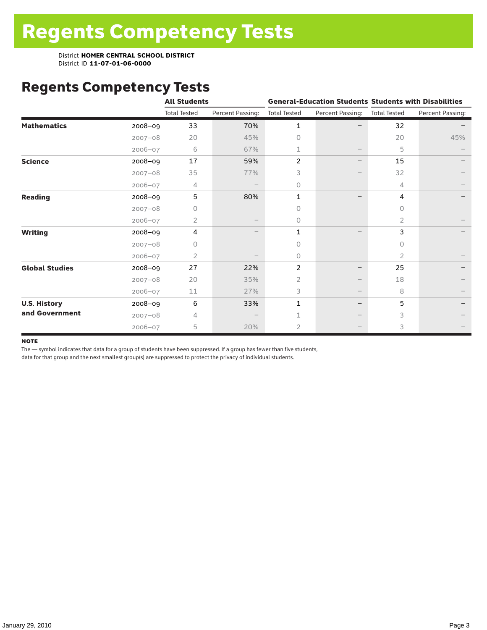# Regents Competency Tests

|                       |             | <b>All Students</b> |                  |                     |                  | <b>General-Education Students Students with Disabilities</b> |                  |  |  |
|-----------------------|-------------|---------------------|------------------|---------------------|------------------|--------------------------------------------------------------|------------------|--|--|
|                       |             | <b>Total Tested</b> | Percent Passing: | <b>Total Tested</b> | Percent Passing: | <b>Total Tested</b>                                          | Percent Passing: |  |  |
| <b>Mathematics</b>    | 2008-09     | 33                  | 70%              | 1                   |                  | 32                                                           |                  |  |  |
|                       | $2007 - 08$ | 20                  | 45%              | $\Omega$            |                  | 20                                                           | 45%              |  |  |
|                       | $2006 - 07$ | 6                   | 67%              |                     |                  | 5                                                            |                  |  |  |
| <b>Science</b>        | 2008-09     | 17                  | 59%              | $\overline{c}$      |                  | 15                                                           |                  |  |  |
|                       | $2007 - 08$ | 35                  | 77%              | 3                   |                  | 32                                                           |                  |  |  |
|                       | $2006 - 07$ | 4                   |                  | 0                   |                  | 4                                                            |                  |  |  |
| <b>Reading</b>        | 2008-09     | 5                   | 80%              | 1                   |                  | 4                                                            |                  |  |  |
|                       | $2007 - 08$ | U                   |                  | 0                   |                  | 0                                                            |                  |  |  |
|                       | $2006 - 07$ | $\overline{2}$      |                  | 0                   |                  | 2                                                            |                  |  |  |
| <b>Writing</b>        | 2008-09     | 4                   |                  | 1                   |                  | 3                                                            |                  |  |  |
|                       | $2007 - 08$ | 0                   |                  | 0                   |                  | 0                                                            |                  |  |  |
|                       | $2006 - 07$ | 2                   |                  | 0                   |                  | 2                                                            |                  |  |  |
| <b>Global Studies</b> | 2008-09     | 27                  | 22%              | 2                   |                  | 25                                                           |                  |  |  |
|                       | $2007 - 08$ | 20                  | 35%              | $\overline{2}$      |                  | 18                                                           |                  |  |  |
|                       | 2006-07     | 11                  | 27%              | 3                   |                  | 8                                                            |                  |  |  |
| <b>U.S. History</b>   | 2008-09     | 6                   | 33%              | $\mathbf{1}$        | $\qquad \qquad$  | 5                                                            |                  |  |  |
| and Government        | $2007 - 08$ | 4                   |                  |                     |                  | 3                                                            |                  |  |  |
|                       | $2006 - 07$ | 5                   | 20%              | $\overline{2}$      |                  | 3                                                            |                  |  |  |

#### **NOTE**

The — symbol indicates that data for a group of students have been suppressed. If a group has fewer than five students,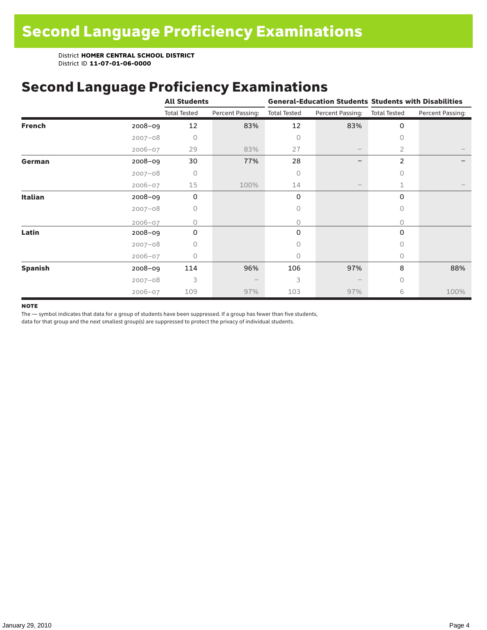# Second Language Proficiency Examinations

|                |             | <b>All Students</b> |                  |                     |                   | <b>General-Education Students Students with Disabilities</b> |                  |  |  |
|----------------|-------------|---------------------|------------------|---------------------|-------------------|--------------------------------------------------------------|------------------|--|--|
|                |             | <b>Total Tested</b> | Percent Passing: | <b>Total Tested</b> | Percent Passing:  | <b>Total Tested</b>                                          | Percent Passing: |  |  |
| <b>French</b>  | 2008-09     | 12                  | 83%              | 12                  | 83%               | 0                                                            |                  |  |  |
|                | $2007 - 08$ | 0                   |                  | 0                   |                   | $\circ$                                                      |                  |  |  |
|                | $2006 - 07$ | 29                  | 83%              | 27                  | $\qquad \qquad -$ | 2                                                            |                  |  |  |
| German         | 2008-09     | 30                  | 77%              | 28                  |                   | $\overline{2}$                                               |                  |  |  |
|                | $2007 - 08$ | $\bigcap$           |                  | 0                   |                   | $\bigcap$                                                    |                  |  |  |
|                | $2006 - 07$ | 15                  | 100%             | 14                  | $\qquad \qquad -$ | 1                                                            |                  |  |  |
| Italian        | 2008-09     | 0                   |                  | 0                   |                   | 0                                                            |                  |  |  |
|                | $2007 - 08$ | 0                   |                  | 0                   |                   | $\Omega$                                                     |                  |  |  |
|                | $2006 - 07$ | 0                   |                  | 0                   |                   | $\Omega$                                                     |                  |  |  |
| Latin          | $2008 - 09$ | $\Omega$            |                  | 0                   |                   | 0                                                            |                  |  |  |
|                | $2007 - 08$ | Ω                   |                  | 0                   |                   | 0                                                            |                  |  |  |
|                | $2006 - 07$ | 0                   |                  | 0                   |                   | 0                                                            |                  |  |  |
| <b>Spanish</b> | 2008-09     | 114                 | 96%              | 106                 | 97%               | 8                                                            | 88%              |  |  |
|                | $2007 - 08$ | 3                   |                  | 3                   |                   | $\bigcap$                                                    |                  |  |  |
|                | $2006 - 07$ | 109                 | 97%              | 103                 | 97%               | 6                                                            | 100%             |  |  |

#### **NOTE**

The — symbol indicates that data for a group of students have been suppressed. If a group has fewer than five students,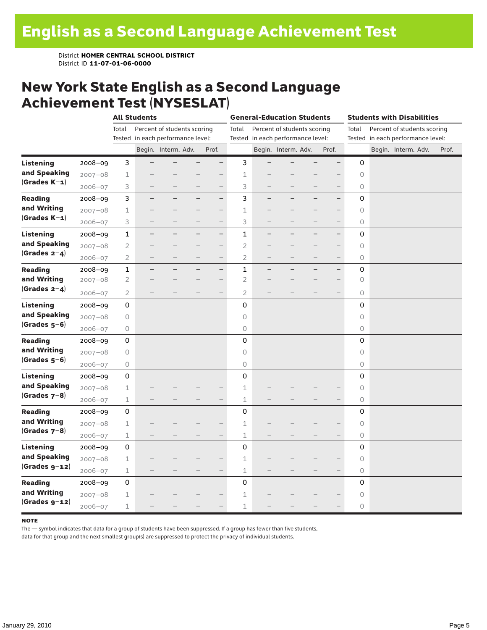### New York State English as a Second Language Achievement Test (NYSESLAT)

|                  |             |                     | <b>All Students</b>               |                             |                          |                          | <b>General-Education Students</b> |                                   |                     |                             | <b>Students with Disabilities</b> |                     |  |                                   |  |       |
|------------------|-------------|---------------------|-----------------------------------|-----------------------------|--------------------------|--------------------------|-----------------------------------|-----------------------------------|---------------------|-----------------------------|-----------------------------------|---------------------|--|-----------------------------------|--|-------|
|                  |             | Total               |                                   | Percent of students scoring |                          |                          | Total                             |                                   |                     | Percent of students scoring |                                   | Total               |  | Percent of students scoring       |  |       |
|                  |             |                     | Tested in each performance level: |                             |                          |                          |                                   | Tested in each performance level: |                     |                             |                                   |                     |  | Tested in each performance level: |  |       |
|                  |             |                     |                                   | Begin. Interm. Adv.         |                          | Prof.                    |                                   |                                   | Begin. Interm. Adv. |                             | Prof.                             |                     |  | Begin. Interm. Adv.               |  | Prof. |
| <b>Listening</b> | 2008-09     | 3                   |                                   |                             |                          | $\overline{\phantom{0}}$ | 3                                 |                                   |                     |                             |                                   | 0                   |  |                                   |  |       |
| and Speaking     | $2007 - 08$ | $\mathbf 1$         |                                   |                             |                          |                          | $\mathbf 1$                       |                                   |                     |                             |                                   | $\circ$             |  |                                   |  |       |
| $(Grades K-1)$   | $2006 - 07$ | 3                   |                                   |                             |                          | $\qquad \qquad -$        | 3                                 |                                   |                     |                             | $\qquad \qquad -$                 | 0                   |  |                                   |  |       |
| <b>Reading</b>   | $2008 - 09$ | 3                   |                                   |                             |                          | $-$                      | 3                                 | $\overline{\phantom{0}}$          |                     | -                           | $\overline{\phantom{0}}$          | 0                   |  |                                   |  |       |
| and Writing      | $2007 - 08$ | 1                   |                                   |                             |                          | $-$                      | 1                                 |                                   |                     |                             | $\qquad \qquad -$                 | 0                   |  |                                   |  |       |
| $(Grades K-1)$   | $2006 - 07$ | 3                   |                                   |                             |                          | $\overline{\phantom{0}}$ | 3                                 |                                   |                     |                             | $\overline{\phantom{0}}$          | 0                   |  |                                   |  |       |
| <b>Listening</b> | $2008 - 09$ | 1                   | -                                 |                             | $\overline{\phantom{0}}$ | $\overline{\phantom{0}}$ | 1                                 | $\qquad \qquad -$                 | ÷,                  | -                           | $\qquad \qquad -$                 | 0                   |  |                                   |  |       |
| and Speaking     | $2007 - 08$ | 2                   |                                   |                             |                          | $\overline{\phantom{0}}$ | $\overline{2}$                    |                                   |                     |                             | $\overline{\phantom{0}}$          | 0                   |  |                                   |  |       |
| $(Grades 2-4)$   | $2006 - 07$ | $\overline{2}$      |                                   |                             |                          | $\overline{\phantom{0}}$ | $\overline{2}$                    |                                   |                     |                             | $\qquad \qquad -$                 | 0                   |  |                                   |  |       |
| <b>Reading</b>   | $2008 - 09$ | $\mathbf 1$         |                                   |                             | -                        | $\qquad \qquad -$        | $\mathbf{1}$                      |                                   |                     |                             | $-$                               | 0                   |  |                                   |  |       |
| and Writing      | $2007 - 08$ | 2                   |                                   |                             |                          | $\overline{\phantom{0}}$ | $\overline{2}$                    |                                   |                     |                             | $\overline{\phantom{0}}$          | $\circ$             |  |                                   |  |       |
| (Grades $2-4$ )  | $2006 - 07$ | 2                   |                                   |                             |                          |                          | 2                                 |                                   |                     |                             |                                   | 0                   |  |                                   |  |       |
| <b>Listening</b> | $2008 - 09$ | 0                   |                                   |                             |                          |                          | 0                                 |                                   |                     |                             |                                   | 0                   |  |                                   |  |       |
| and Speaking     | $2007 - 08$ | 0                   |                                   |                             |                          |                          | $\circ$                           |                                   |                     |                             |                                   | $\circ$             |  |                                   |  |       |
| $(Grades 5-6)$   | $2006 - 07$ | 0                   |                                   |                             |                          |                          | 0                                 |                                   |                     |                             |                                   | 0                   |  |                                   |  |       |
| <b>Reading</b>   | $2008 - 09$ | $\mathsf{O}\xspace$ |                                   |                             |                          |                          | $\mathbf 0$                       |                                   |                     |                             |                                   | 0                   |  |                                   |  |       |
| and Writing      | $2007 - 08$ | 0                   |                                   |                             |                          |                          | $\circ$                           |                                   |                     |                             |                                   | $\circlearrowright$ |  |                                   |  |       |
| $(Grades 5-6)$   | $2006 - 07$ | 0                   |                                   |                             |                          |                          | 0                                 |                                   |                     |                             |                                   | 0                   |  |                                   |  |       |
| <b>Listening</b> | $2008 - 09$ | 0                   |                                   |                             |                          |                          | $\mathbf 0$                       |                                   |                     |                             |                                   | 0                   |  |                                   |  |       |
| and Speaking     | $2007 - 08$ | $\mathbf 1$         |                                   |                             |                          |                          | $1\,$                             |                                   |                     |                             |                                   | $\circ$             |  |                                   |  |       |
| (Grades $7-8$ )  | $2006 - 07$ | $\mathbf 1$         |                                   |                             |                          |                          | $\mathbf 1$                       |                                   |                     |                             |                                   | 0                   |  |                                   |  |       |
| <b>Reading</b>   | $2008 - 09$ | 0                   |                                   |                             |                          |                          | $\mathbf 0$                       |                                   |                     |                             |                                   | 0                   |  |                                   |  |       |
| and Writing      | $2007 - 08$ | 1                   |                                   |                             |                          |                          | 1                                 |                                   |                     |                             |                                   | 0                   |  |                                   |  |       |
| $(Grades 7-8)$   | $2006 - 07$ | 1                   |                                   |                             |                          |                          | 1                                 |                                   |                     |                             |                                   | 0                   |  |                                   |  |       |
| <b>Listening</b> | $2008 - 09$ | 0                   |                                   |                             |                          |                          | 0                                 |                                   |                     |                             |                                   | 0                   |  |                                   |  |       |
| and Speaking     | $2007 - 08$ | $\mathbf 1$         |                                   |                             |                          |                          | $\mathbf 1$                       |                                   |                     |                             |                                   | $\circ$             |  |                                   |  |       |
| $(Grades g-12)$  | $2006 - 07$ | $\mathbbm{1}$       |                                   |                             |                          | $\overline{\phantom{0}}$ | $\perp$                           |                                   |                     |                             |                                   | $\circ$             |  |                                   |  |       |
| <b>Reading</b>   | 2008-09     | 0                   |                                   |                             |                          |                          | 0                                 |                                   |                     |                             |                                   | 0                   |  |                                   |  |       |
| and Writing      | $2007 - 08$ | 1                   |                                   |                             |                          |                          | $\mathbf 1$                       |                                   |                     |                             |                                   | 0                   |  |                                   |  |       |
| $(Grades g-12)$  | $2006 - 07$ | 1                   |                                   |                             |                          |                          | 1                                 |                                   |                     |                             |                                   | 0                   |  |                                   |  |       |

#### **NOTE**

The — symbol indicates that data for a group of students have been suppressed. If a group has fewer than five students,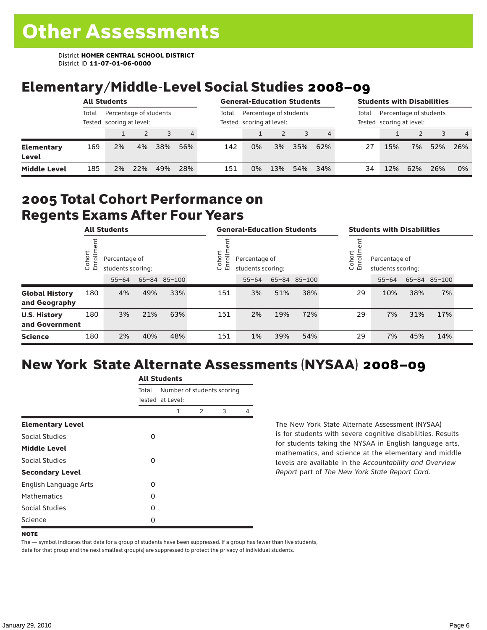# Elementary/Middle-Level Social Studies 2008–09

|                            | <b>All Students</b> |                                                    |     |     |     | <b>General-Education Students</b> |                                                    |     |     |     | <b>Students with Disabilities</b> |                                                    |     |     |                |
|----------------------------|---------------------|----------------------------------------------------|-----|-----|-----|-----------------------------------|----------------------------------------------------|-----|-----|-----|-----------------------------------|----------------------------------------------------|-----|-----|----------------|
|                            | Total               | Percentage of students<br>Tested scoring at level: |     |     |     | Total                             | Percentage of students<br>Tested scoring at level: |     |     |     | Total                             | Percentage of students<br>Tested scoring at level: |     |     |                |
|                            |                     |                                                    |     |     | 4   |                                   |                                                    |     |     |     |                                   |                                                    |     |     | $\overline{4}$ |
| <b>Elementary</b><br>Level | 169                 | 2%                                                 | 4%  | 38% | 56% | 142                               | 0%                                                 | 3%  | 35% | 62% | 27                                | 15%                                                | 7%  | 52% | 26%            |
| <b>Middle Level</b>        | 185                 | 2%                                                 | 22% | 49% | 28% | 151                               | 0%                                                 | 13% | 54% | 34% | 34                                | 12%                                                | 62% | 26% | 0%             |

### 2005 Total Cohort Performance on Regents Exams After Four Years

|                                        | <b>All Students</b>    |    |                                                                 |     | <b>General-Education Students</b> |                                                            |           |     |              | <b>Students with Disabilities</b> |                                                             |           |     |              |  |
|----------------------------------------|------------------------|----|-----------------------------------------------------------------|-----|-----------------------------------|------------------------------------------------------------|-----------|-----|--------------|-----------------------------------|-------------------------------------------------------------|-----------|-----|--------------|--|
|                                        | Cohort<br>$\circ$<br>亩 |    | Percentage of<br>students scoring:<br>65-84 85-100<br>$55 - 64$ |     |                                   | =<br>Cohoi<br>Percentage of<br>S<br>멷<br>students scoring: |           |     |              |                                   | Cohort<br>=<br>Percentage of<br>5<br>훕<br>students scoring: |           |     |              |  |
|                                        |                        |    |                                                                 |     |                                   |                                                            | $55 - 64$ |     | 65-84 85-100 |                                   |                                                             | $55 - 64$ |     | 65-84 85-100 |  |
| <b>Global History</b><br>and Geography | 180                    | 4% | 49%                                                             | 33% |                                   | 151                                                        | 3%        | 51% | 38%          |                                   | 29                                                          | 10%       | 38% | 7%           |  |
| <b>U.S. History</b><br>and Government  | 180                    | 3% | 21%                                                             | 63% |                                   | 151                                                        | 2%        | 19% | 72%          |                                   | 29                                                          | 7%        | 31% | 17%          |  |
| <b>Science</b>                         | 180                    | 2% | 40%                                                             | 48% |                                   | 151                                                        | 1%        | 39% | 54%          |                                   | 29                                                          | 7%        | 45% | 14%          |  |

# New York State Alternate Assessments (NYSAA) 2008–09

|                              | <b>All Students</b> |                                                |               |   |   |  |  |  |
|------------------------------|---------------------|------------------------------------------------|---------------|---|---|--|--|--|
|                              | Total               | Number of students scoring<br>Tested at Level: |               |   |   |  |  |  |
|                              |                     | 1                                              | $\mathcal{P}$ | 3 | 4 |  |  |  |
| <b>Elementary Level</b>      |                     |                                                |               |   |   |  |  |  |
| Social Studies               | 0                   |                                                |               |   |   |  |  |  |
| <b>Middle Level</b>          |                     |                                                |               |   |   |  |  |  |
| Social Studies               | 0                   |                                                |               |   |   |  |  |  |
| <b>Secondary Level</b>       |                     |                                                |               |   |   |  |  |  |
| <b>English Language Arts</b> | O                   |                                                |               |   |   |  |  |  |
| <b>Mathematics</b>           | Ω                   |                                                |               |   |   |  |  |  |
| Social Studies               | O                   |                                                |               |   |   |  |  |  |
| Science                      | Ω                   |                                                |               |   |   |  |  |  |

The New York State Alternate Assessment (NYSAA) is for students with severe cognitive disabilities. Results for students taking the NYSAA in English language arts, mathematics, and science at the elementary and middle levels are available in the *Accountability and Overview Report* part of *The New York State Report Card*.

The — symbol indicates that data for a group of students have been suppressed. If a group has fewer than five students, data for that group and the next smallest group(s) are suppressed to protect the privacy of individual students.

**NOTE**